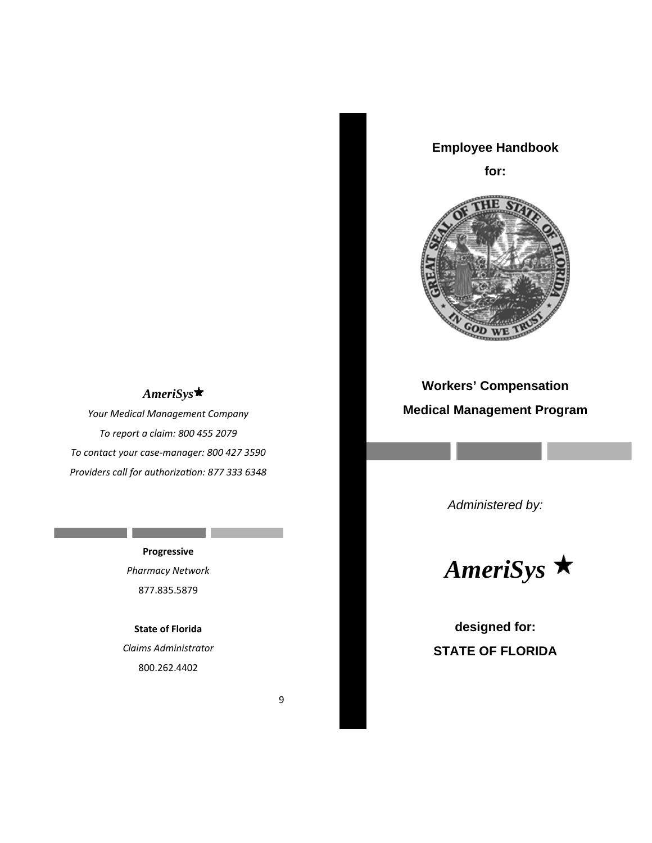# **Employee Handbook**

**for:** 



**Workers' Compensation** 

**Medical Management Program** 

# *AmeriSys*

*Your Medical Management Company To report a claim: 800 455 2079 To contact your case‐manager: 800 427 3590 Providers call for authorizaƟon: 877 333 6348*

> **Progressive** *Pharmacy Network* 877.835.5879

**State of Florida** *Claims Administrator* 800.262.4402

*Administered by:* 



**designed for: STATE OF FLORIDA**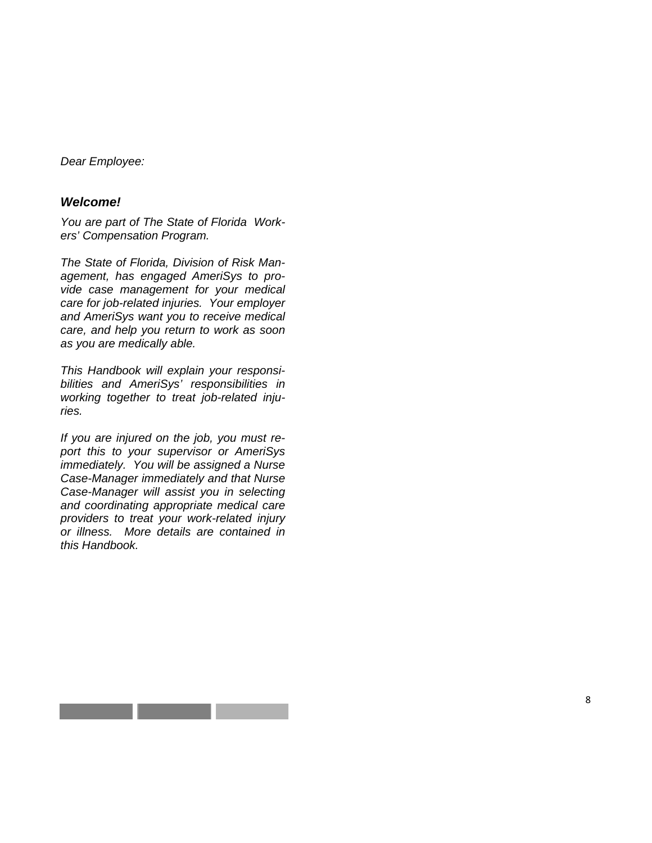*Dear Employee:* 

## *Welcome!*

*You are part of The State of Florida Workers' Compensation Program.* 

*The State of Florida, Division of Risk Management, has engaged AmeriSys to provide case management for your medical care for job-related injuries. Your employer and AmeriSys want you to receive medical care, and help you return to work as soon as you are medically able.* 

*This Handbook will explain your responsibilities and AmeriSys' responsibilities in working together to treat job-related injuries.* 

*If you are injured on the job, you must report this to your supervisor or AmeriSys immediately. You will be assigned a Nurse Case-Manager immediately and that Nurse Case-Manager will assist you in selecting and coordinating appropriate medical care providers to treat your work-related injury or illness. More details are contained in this Handbook.*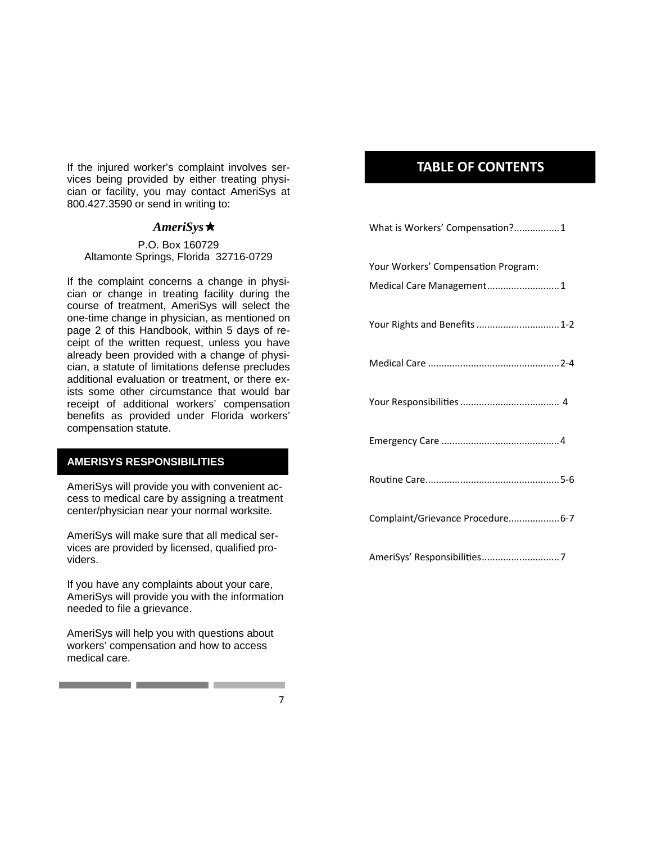If the injured worker's complaint involves services being provided by either treating physician or facility, you may contact AmeriSys at 800.427.3590 or send in writing to:

#### *AmeriSys*

#### P.O. Box 160729 Altamonte Springs, Florida 32716-0729

If the complaint concerns a change in physician or change in treating facility during the course of treatment, AmeriSys will select the one-time change in physician, as mentioned on page 2 of this Handbook, within 5 days of receipt of the written request, unless you have already been provided with a change of physician, a statute of limitations defense precludes additional evaluation or treatment, or there exists some other circumstance that would bar receipt of additional workers' compensation benefits as provided under Florida workers' compensation statute.

#### **AMERISYS RESPONSIBILITIES**

AmeriSys will provide you with convenient access to medical care by assigning a treatment center/physician near your normal worksite.

AmeriSys will make sure that all medical services are provided by licensed, qualified providers.

If you have any complaints about your care, AmeriSys will provide you with the information needed to file a grievance.

AmeriSys will help you with questions about workers' compensation and how to access medical care.

**The Common** 

the control of the control of the control of the

# **TABLE OF CONTENTS**

| What is Workers' Compensation?1                                 |
|-----------------------------------------------------------------|
| Your Workers' Compensation Program:<br>Medical Care Management1 |
| Your Rights and Benefits  1-2                                   |
|                                                                 |
|                                                                 |
|                                                                 |
|                                                                 |
| Complaint/Grievance Procedure6-7                                |
|                                                                 |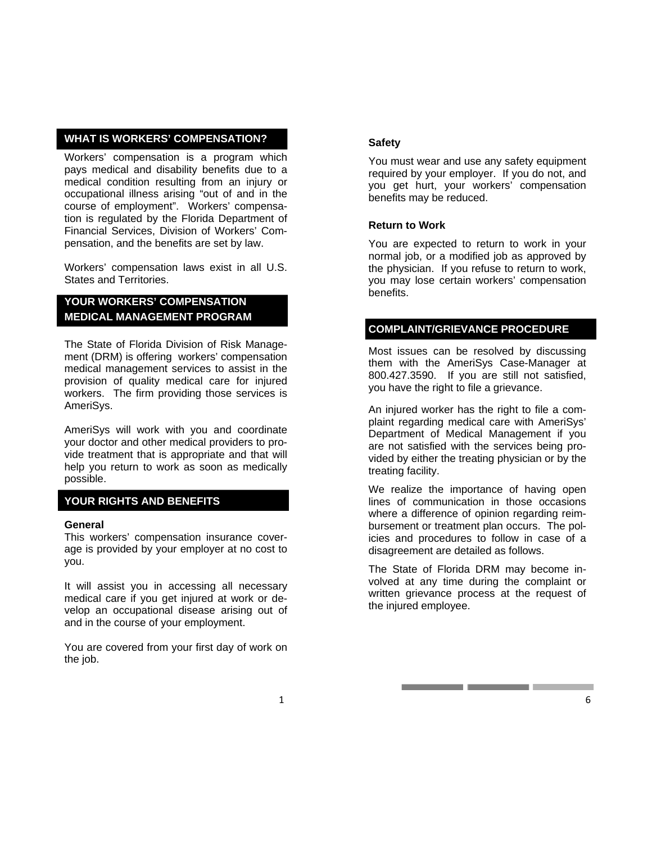### **WHAT IS WORKERS' COMPENSATION?**

 tion is regulated by the Florida Department of Workers' compensation is a program which pays medical and disability benefits due to a medical condition resulting from an injury or occupational illness arising "out of and in the course of employment". Workers' compensa-Financial Services, Division of Workers' Compensation, and the benefits are set by law.

Workers' compensation laws exist in all U.S. States and Territories.

# **YOUR WORKERS' COMPENSATION MEDICAL MANAGEMENT PROGRAM**

The State of Florida Division of Risk Management (DRM) is offering workers' compensation medical management services to assist in the provision of quality medical care for injured workers. The firm providing those services is AmeriSys.

AmeriSys will work with you and coordinate your doctor and other medical providers to provide treatment that is appropriate and that will help you return to work as soon as medically possible.

## **YOUR RIGHTS AND BENEFITS**

#### **General**

This workers' compensation insurance coverage is provided by your employer at no cost to you.

It will assist you in accessing all necessary medical care if you get injured at work or develop an occupational disease arising out of and in the course of your employment.

You are covered from your first day of work on the job.

#### **Safety**

You must wear and use any safety equipment required by your employer. If you do not, and you get hurt, your workers' compensation benefits may be reduced.

### **Return to Work**

You are expected to return to work in your normal job, or a modified job as approved by the physician. If you refuse to return to work, you may lose certain workers' compensation benefits.

## **COMPLAINT/GRIEVANCE PROCEDURE**

Most issues can be resolved by discussing them with the AmeriSys Case-Manager at 800.427.3590. If you are still not satisfied, you have the right to file a grievance.

An injured worker has the right to file a complaint regarding medical care with AmeriSys' Department of Medical Management if you are not satisfied with the services being provided by either the treating physician or by the treating facility.

We realize the importance of having open lines of communication in those occasions where a difference of opinion regarding reimbursement or treatment plan occurs. The policies and procedures to follow in case of a disagreement are detailed as follows.

The State of Florida DRM may become involved at any time during the complaint or written grievance process at the request of the injured employee.

**Contract**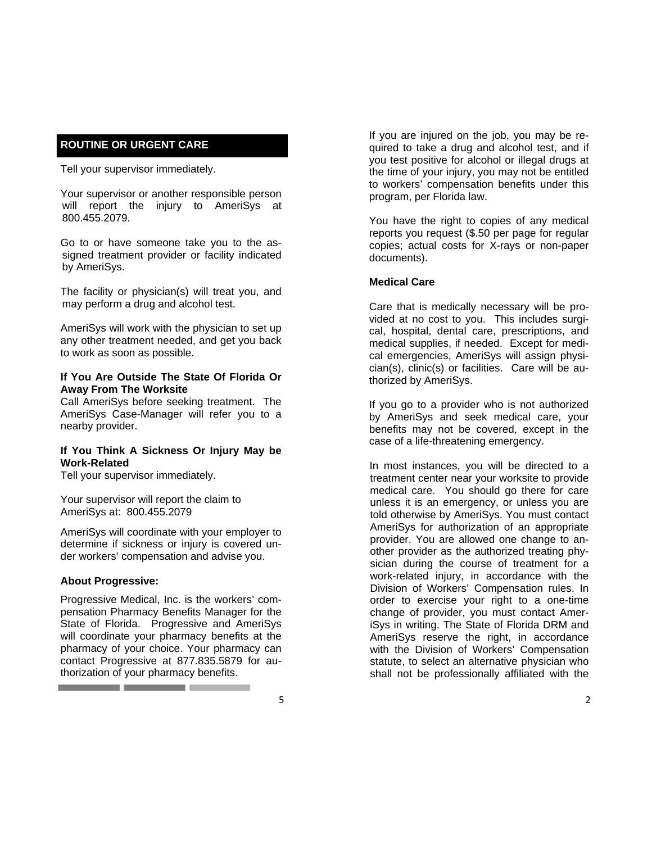## **ROUTINE OR URGENT CARE**

Tell your supervisor immediately.

Your supervisor or another responsible person will report the injury to AmeriSys at 800.455.2079.

Go to or have someone take you to the assigned treatment provider or facility indicated by AmeriSys.

The facility or physician(s) will treat you, and may perform a drug and alcohol test.

AmeriSys will work with the physician to set up any other treatment needed, and get you back to work as soon as possible.

#### **If You Are Outside The State Of Florida Or Away From The Worksite:**

Call AmeriSys before seeking treatment. The AmeriSys Case-Manager will refer you to a nearby provider.

### **If You Think A Sickness Or Injury May be Work-Related**

Tell your supervisor immediately.

\_\_\_\_\_\_\_\_\_

Your supervisor will report the claim to AmeriSys at: 800.455.2079

AmeriSys will coordinate with your employer to determine if sickness or injury is covered under workers' compensation and advise you.

### **About Progressive:**

Progressive Medical, Inc. is the workers' compensation Pharmacy Benefits Manager for the State of Florida. Progressive and AmeriSys will coordinate your pharmacy benefits at the pharmacy of your choice. Your pharmacy can contact Progressive at 877.835.5879 for authorization of your pharmacy benefits.

If you are injured on the job, you may be required to take a drug and alcohol test, and if you test positive for alcohol or illegal drugs at the time of your injury, you may not be entitled to workers' compensation benefits under this program, per Florida law.

You have the right to copies of any medical reports you request (\$.50 per page for regular copies; actual costs for X-rays or non-paper documents).

### **Medical Care**

Care that is medically necessary will be provided at no cost to you. This includes surgical, hospital, dental care, prescriptions, and medical supplies, if needed. Except for medical emergencies, AmeriSys will assign physician(s), clinic(s) or facilities. Care will be authorized by AmeriSys.

If you go to a provider who is not authorized by AmeriSys and seek medical care, your benefits may not be covered, except in the case of a life-threatening emergency.

In most instances, you will be directed to a treatment center near your worksite to provide medical care. You should go there for care unless it is an emergency, or unless you are told otherwise by AmeriSys. You must contact AmeriSys for authorization of an appropriate provider. You are allowed one change to another provider as the authorized treating physician during the course of treatment for a work-related injury, in accordance with the Division of Workers' Compensation rules. In order to exercise your right to a one-time change of provider, you must contact AmeriSys in writing. The State of Florida DRM and AmeriSys reserve the right, in accordance with the Division of Workers' Compensation statute, to select an alternative physician who shall not be professionally affiliated with the